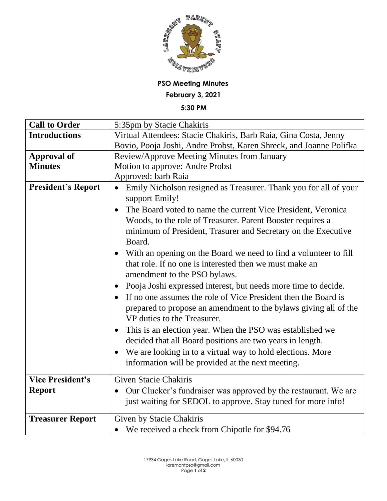

## **PSO Meeting Minutes February 3, 2021**

**5:30 PM**

| 5:35pm by Stacie Chakiris                                                     |
|-------------------------------------------------------------------------------|
| Virtual Attendees: Stacie Chakiris, Barb Raia, Gina Costa, Jenny              |
| Bovio, Pooja Joshi, Andre Probst, Karen Shreck, and Joanne Polifka            |
| Review/Approve Meeting Minutes from January                                   |
| Motion to approve: Andre Probst                                               |
| Approved: barb Raia                                                           |
| Emily Nicholson resigned as Treasurer. Thank you for all of your              |
| support Emily!                                                                |
| The Board voted to name the current Vice President, Veronica<br>$\bullet$     |
| Woods, to the role of Treasurer. Parent Booster requires a                    |
| minimum of President, Trasurer and Secretary on the Executive                 |
| Board.                                                                        |
| With an opening on the Board we need to find a volunteer to fill<br>$\bullet$ |
| that role. If no one is interested then we must make an                       |
| amendment to the PSO bylaws.                                                  |
| Pooja Joshi expressed interest, but needs more time to decide.                |
| If no one assumes the role of Vice President then the Board is                |
| prepared to propose an amendment to the bylaws giving all of the              |
| VP duties to the Treasurer.                                                   |
| This is an election year. When the PSO was established we                     |
| decided that all Board positions are two years in length.                     |
| We are looking in to a virtual way to hold elections. More                    |
| information will be provided at the next meeting.                             |
|                                                                               |
| <b>Given Stacie Chakiris</b>                                                  |
| Our Clucker's fundraiser was approved by the restaurant. We are               |
| just waiting for SEDOL to approve. Stay tuned for more info!                  |
| Given by Stacie Chakiris                                                      |
| • We received a check from Chipotle for \$94.76                               |
|                                                                               |